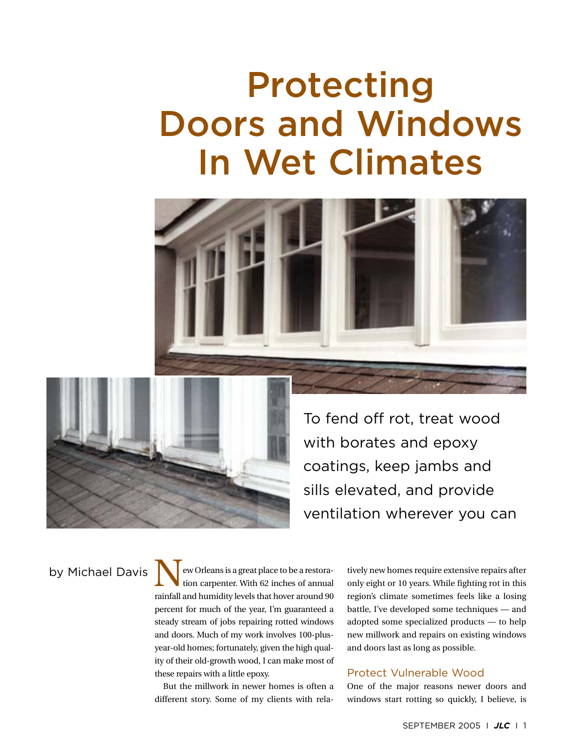# Protecting Doors and Windows In Wet Climates





To fend off rot, treat wood with borates and epoxy coatings, keep jambs and sills elevated, and provide ventilation wherever you can

by Michael Davis

ew Orleans is a great place to be a restoration carpenter. With 62 inches of annual rainfall and humidity levels that hover around 90 percent for much of the year, I'm guaranteed a steady stream of jobs repairing rotted windows and doors. Much of my work involves 100-plusyear-old homes; fortunately, given the high quality of their old-growth wood, I can make most of these repairs with a little epoxy.

But the millwork in newer homes is often a different story. Some of my clients with relatively new homes require extensive repairs after only eight or 10 years. While fighting rot in this region's climate sometimes feels like a losing battle, I've developed some techniques — and adopted some specialized products — to help new millwork and repairs on existing windows and doors last as long as possible.

### Protect Vulnerable Wood

One of the major reasons newer doors and windows start rotting so quickly, I believe, is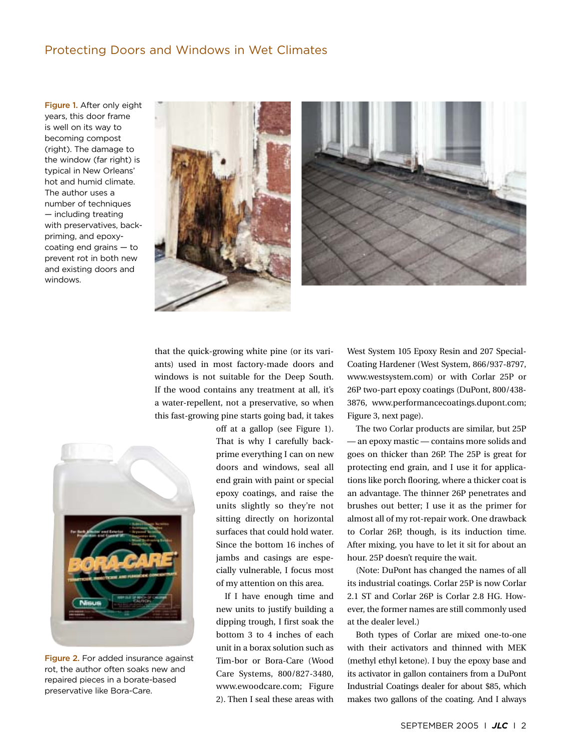# Protecting Doors and Windows in Wet Climates

Figure 1. After only eight years, this door frame is well on its way to becoming compost (right). The damage to the window (far right) is typical in New Orleans' hot and humid climate. The author uses a number of techniques — including treating with preservatives, backpriming, and epoxycoating end grains — to prevent rot in both new and existing doors and windows.





that the quick-growing white pine (or its variants) used in most factory-made doors and windows is not suitable for the Deep South. If the wood contains any treatment at all, it's a water-repellent, not a preservative, so when this fast-growing pine starts going bad, it takes

> off at a gallop (see Figure 1). That is why I carefully backprime everything I can on new doors and windows, seal all end grain with paint or special epoxy coatings, and raise the units slightly so they're not sitting directly on horizontal surfaces that could hold water. Since the bottom 16 inches of jambs and casings are especially vulnerable, I focus most of my attention on this area.

If I have enough time and new units to justify building a dipping trough, I first soak the bottom 3 to 4 inches of each unit in a borax solution such as Tim-bor or Bora-Care (Wood Care Systems, 800/827-3480, www.ewoodcare.com; Figure 2). Then I seal these areas with West System 105 Epoxy Resin and 207 Special-Coating Hardener (West System, 866/937-8797, www.westsystem.com) or with Corlar 25P or 26P two-part epoxy coatings (DuPont, 800/438- 3876, www.performancecoatings.dupont.com; Figure 3, next page).

The two Corlar products are similar, but 25P — an epoxy mastic — contains more solids and goes on thicker than 26P. The 25P is great for protecting end grain, and I use it for applications like porch flooring, where a thicker coat is an advantage. The thinner 26P penetrates and brushes out better; I use it as the primer for almost all of my rot-repair work. One drawback to Corlar 26P, though, is its induction time. After mixing, you have to let it sit for about an hour. 25P doesn't require the wait.

(Note: DuPont has changed the names of all its industrial coatings. Corlar 25P is now Corlar 2.1 ST and Corlar 26P is Corlar 2.8 HG. However, the former names are still commonly used at the dealer level.)

Both types of Corlar are mixed one-to-one with their activators and thinned with MEK (methyl ethyl ketone). I buy the epoxy base and its activator in gallon containers from a DuPont Industrial Coatings dealer for about \$85, which makes two gallons of the coating. And I always



Figure 2. For added insurance against rot, the author often soaks new and repaired pieces in a borate-based preservative like Bora-Care.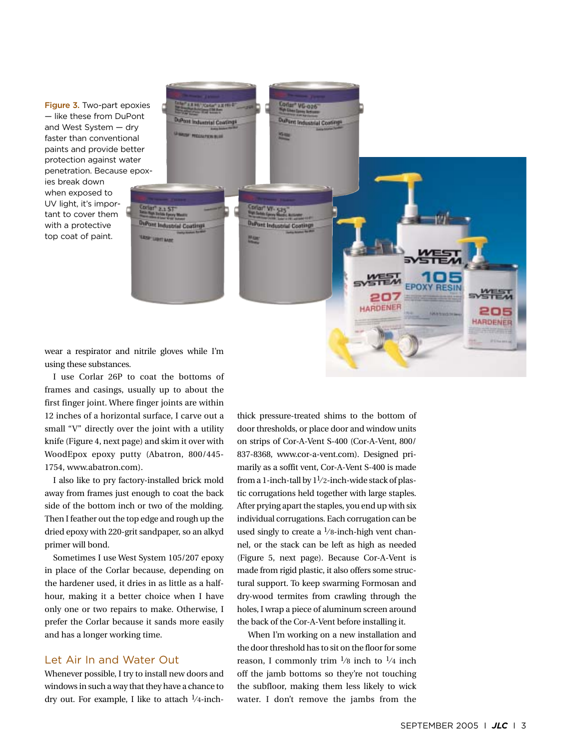

I use Corlar 26P to coat the bottoms of frames and casings, usually up to about the first finger joint. Where finger joints are within 12 inches of a horizontal surface, I carve out a small "V" directly over the joint with a utility knife (Figure 4, next page) and skim it over with WoodEpox epoxy putty (Abatron, 800/445- 1754, www.abatron.com).

I also like to pry factory-installed brick mold away from frames just enough to coat the back side of the bottom inch or two of the molding. Then I feather out the top edge and rough up the dried epoxy with 220-grit sandpaper, so an alkyd primer will bond.

Sometimes I use West System 105/207 epoxy in place of the Corlar because, depending on the hardener used, it dries in as little as a halfhour, making it a better choice when I have only one or two repairs to make. Otherwise, I prefer the Corlar because it sands more easily and has a longer working time.

#### Let Air In and Water Out

Whenever possible, I try to install new doors and windows in such a way that they have a chance to dry out. For example, I like to attach  $\frac{1}{4}$ -inch-

thick pressure-treated shims to the bottom of door thresholds, or place door and window units on strips of Cor-A-Vent S-400 (Cor-A-Vent, 800/ 837-8368, www.cor-a-vent.com). Designed primarily as a soffit vent, Cor-A-Vent S-400 is made from a 1-inch-tall by  $1<sup>1</sup>/2$ -inch-wide stack of plastic corrugations held together with large staples. After prying apart the staples, you end up with six individual corrugations. Each corrugation can be used singly to create a  $\frac{1}{8}$ -inch-high vent channel, or the stack can be left as high as needed (Figure 5, next page). Because Cor-A-Vent is made from rigid plastic, it also offers some structural support. To keep swarming Formosan and dry-wood termites from crawling through the holes, I wrap a piece of aluminum screen around the back of the Cor-A-Vent before installing it.

When I'm working on a new installation and the door threshold has to sit on the floor for some reason, I commonly trim  $\frac{1}{8}$  inch to  $\frac{1}{4}$  inch off the jamb bottoms so they're not touching the subfloor, making them less likely to wick water. I don't remove the jambs from the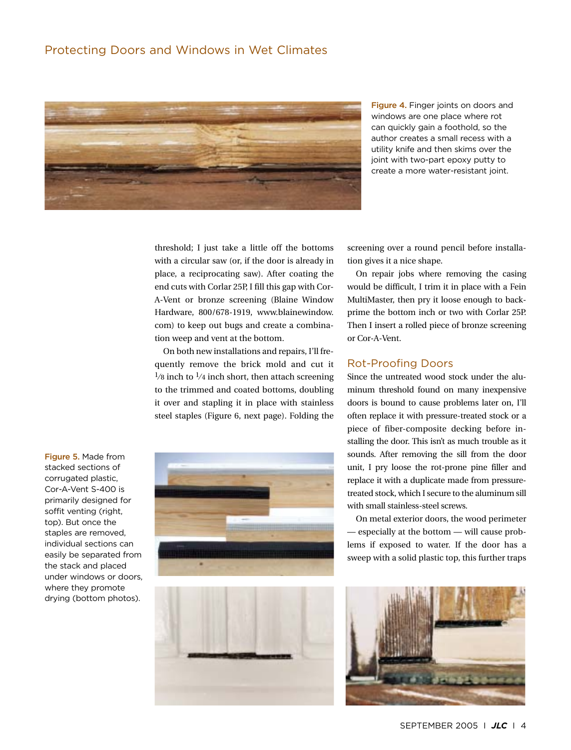

Figure 4. Finger joints on doors and windows are one place where rot can quickly gain a foothold, so the author creates a small recess with a utility knife and then skims over the joint with two-part epoxy putty to create a more water-resistant joint.

threshold; I just take a little off the bottoms with a circular saw (or, if the door is already in place, a reciprocating saw). After coating the end cuts with Corlar 25P, I fill this gap with Cor-A-Vent or bronze screening (Blaine Window Hardware, 800/678-1919, www.blainewindow. com) to keep out bugs and create a combination weep and vent at the bottom.

On both new installations and repairs, I'll frequently remove the brick mold and cut it  $\frac{1}{8}$  inch to  $\frac{1}{4}$  inch short, then attach screening to the trimmed and coated bottoms, doubling it over and stapling it in place with stainless steel staples (Figure 6, next page). Folding the





screening over a round pencil before installation gives it a nice shape.

On repair jobs where removing the casing would be difficult, I trim it in place with a Fein MultiMaster, then pry it loose enough to backprime the bottom inch or two with Corlar 25P. Then I insert a rolled piece of bronze screening or Cor-A-Vent.

#### Rot-Proofing Doors

Since the untreated wood stock under the aluminum threshold found on many inexpensive doors is bound to cause problems later on, I'll often replace it with pressure-treated stock or a piece of fiber-composite decking before installing the door. This isn't as much trouble as it sounds. After removing the sill from the door unit, I pry loose the rot-prone pine filler and replace it with a duplicate made from pressuretreated stock, which I secure to the aluminum sill with small stainless-steel screws.

On metal exterior doors, the wood perimeter — especially at the bottom — will cause problems if exposed to water. If the door has a sweep with a solid plastic top, this further traps



Figure 5. Made from stacked sections of corrugated plastic, Cor-A-Vent S-400 is primarily designed for soffit venting (right, top). But once the staples are removed, individual sections can easily be separated from the stack and placed under windows or doors, where they promote drying (bottom photos).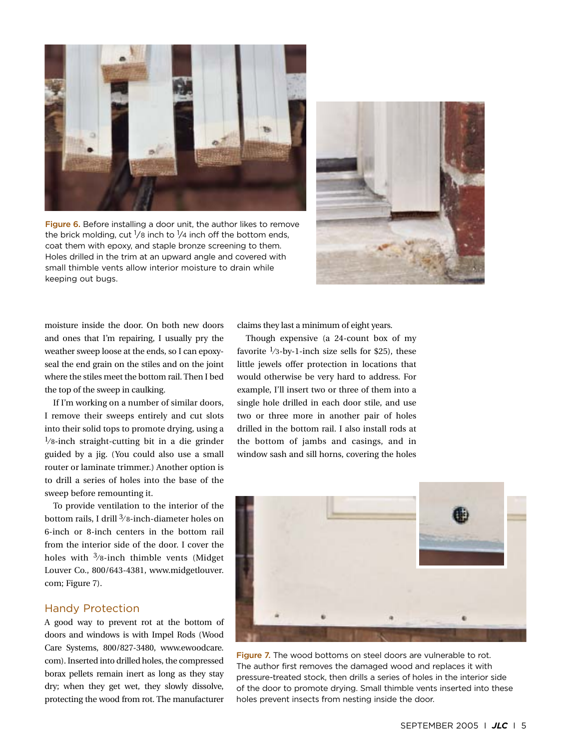

Figure 6. Before installing a door unit, the author likes to remove the brick molding, cut  $\frac{1}{8}$  inch to  $\frac{1}{4}$  inch off the bottom ends, coat them with epoxy, and staple bronze screening to them. Holes drilled in the trim at an upward angle and covered with small thimble vents allow interior moisture to drain while keeping out bugs.



moisture inside the door. On both new doors and ones that I'm repairing, I usually pry the weather sweep loose at the ends, so I can epoxyseal the end grain on the stiles and on the joint where the stiles meet the bottom rail. Then I bed the top of the sweep in caulking.

If I'm working on a number of similar doors, I remove their sweeps entirely and cut slots into their solid tops to promote drying, using a  $\frac{1}{8}$ -inch straight-cutting bit in a die grinder guided by a jig. (You could also use a small router or laminate trimmer.) Another option is to drill a series of holes into the base of the sweep before remounting it.

To provide ventilation to the interior of the bottom rails, I drill 3⁄ 8-inch-diameter holes on 6-inch or 8-inch centers in the bottom rail from the interior side of the door. I cover the holes with  $\frac{3}{8}$ -inch thimble vents (Midget Louver Co., 800/643-4381, www.midgetlouver. com; Figure 7).

#### Handy Protection

A good way to prevent rot at the bottom of doors and windows is with Impel Rods (Wood Care Systems, 800/827-3480, www.ewoodcare. com). Inserted into drilled holes, the compressed borax pellets remain inert as long as they stay dry; when they get wet, they slowly dissolve, protecting the wood from rot. The manufacturer

claims they last a minimum of eight years.

Though expensive (a 24-count box of my favorite  $\frac{1}{3}$ -by-1-inch size sells for \$25), these little jewels offer protection in locations that would otherwise be very hard to address. For example, I'll insert two or three of them into a single hole drilled in each door stile, and use two or three more in another pair of holes drilled in the bottom rail. I also install rods at the bottom of jambs and casings, and in window sash and sill horns, covering the holes



Figure 7. The wood bottoms on steel doors are vulnerable to rot. The author first removes the damaged wood and replaces it with pressure-treated stock, then drills a series of holes in the interior side of the door to promote drying. Small thimble vents inserted into these holes prevent insects from nesting inside the door.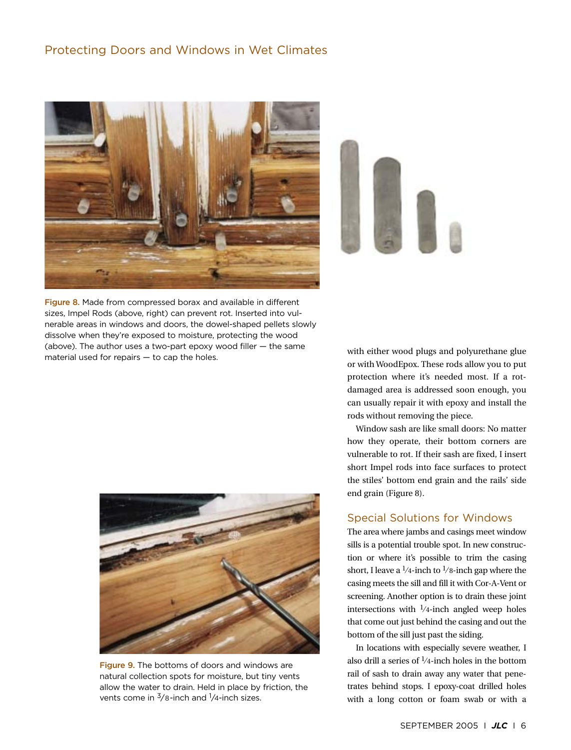# Protecting Doors and Windows in Wet Climates





Figure 8. Made from compressed borax and available in different sizes, Impel Rods (above, right) can prevent rot. Inserted into vulnerable areas in windows and doors, the dowel-shaped pellets slowly dissolve when they're exposed to moisture, protecting the wood (above). The author uses a two-part epoxy wood filler — the same material used for repairs — to cap the holes.



Figure 9. The bottoms of doors and windows are natural collection spots for moisture, but tiny vents allow the water to drain. Held in place by friction, the vents come in  $\frac{3}{8}$ -inch and  $\frac{1}{4}$ -inch sizes.

with either wood plugs and polyurethane glue or with WoodEpox. These rods allow you to put protection where it's needed most. If a rotdamaged area is addressed soon enough, you can usually repair it with epoxy and install the rods without removing the piece.

Window sash are like small doors: No matter how they operate, their bottom corners are vulnerable to rot. If their sash are fixed, I insert short Impel rods into face surfaces to protect the stiles' bottom end grain and the rails' side end grain (Figure 8).

## Special Solutions for Windows

The area where jambs and casings meet window sills is a potential trouble spot. In new construction or where it's possible to trim the casing short, I leave a  $\frac{1}{4}$ -inch to  $\frac{1}{8}$ -inch gap where the casing meets the sill and fill it with Cor-A-Vent or screening. Another option is to drain these joint intersections with  $\frac{1}{4}$ -inch angled weep holes that come out just behind the casing and out the bottom of the sill just past the siding.

In locations with especially severe weather, I also drill a series of  $\frac{1}{4}$ -inch holes in the bottom rail of sash to drain away any water that penetrates behind stops. I epoxy-coat drilled holes with a long cotton or foam swab or with a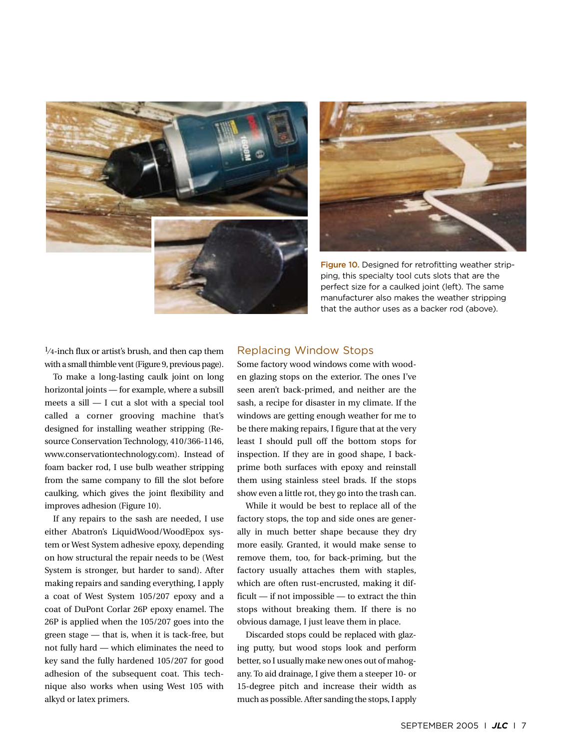



Figure 10. Designed for retrofitting weather stripping, this specialty tool cuts slots that are the perfect size for a caulked joint (left). The same manufacturer also makes the weather stripping that the author uses as a backer rod (above).

 $\frac{1}{4}$ -inch flux or artist's brush, and then cap them with a small thimble vent (Figure 9, previous page).

To make a long-lasting caulk joint on long horizontal joints — for example, where a subsill meets a sill — I cut a slot with a special tool called a corner grooving machine that's designed for installing weather stripping (Resource Conservation Technology, 410/366-1146, www.conservationtechnology.com). Instead of foam backer rod, I use bulb weather stripping from the same company to fill the slot before caulking, which gives the joint flexibility and improves adhesion (Figure 10).

If any repairs to the sash are needed, I use either Abatron's LiquidWood/WoodEpox system or West System adhesive epoxy, depending on how structural the repair needs to be (West System is stronger, but harder to sand). After making repairs and sanding everything, I apply a coat of West System 105/207 epoxy and a coat of DuPont Corlar 26P epoxy enamel. The 26P is applied when the 105/207 goes into the green stage — that is, when it is tack-free, but not fully hard — which eliminates the need to key sand the fully hardened 105/207 for good adhesion of the subsequent coat. This technique also works when using West 105 with alkyd or latex primers.

#### Replacing Window Stops

Some factory wood windows come with wooden glazing stops on the exterior. The ones I've seen aren't back-primed, and neither are the sash, a recipe for disaster in my climate. If the windows are getting enough weather for me to be there making repairs, I figure that at the very least I should pull off the bottom stops for inspection. If they are in good shape, I backprime both surfaces with epoxy and reinstall them using stainless steel brads. If the stops show even a little rot, they go into the trash can.

While it would be best to replace all of the factory stops, the top and side ones are generally in much better shape because they dry more easily. Granted, it would make sense to remove them, too, for back-priming, but the factory usually attaches them with staples, which are often rust-encrusted, making it difficult — if not impossible — to extract the thin stops without breaking them. If there is no obvious damage, I just leave them in place.

Discarded stops could be replaced with glazing putty, but wood stops look and perform better, so I usually make new ones out of mahogany. To aid drainage, I give them a steeper 10- or 15-degree pitch and increase their width as much as possible. After sanding the stops, I apply